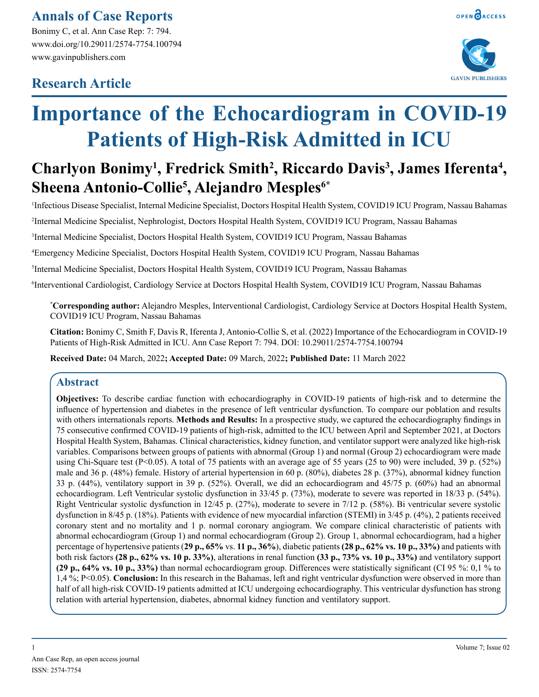## **Annals of Case Reports**

Bonimy C, et al. Ann Case Rep: 7: 794. www.doi.org/10.29011/2574-7754.100794 www.gavinpublishers.com

# **Research Article**





# **Importance of the Echocardiogram in COVID-19 Patients of High-Risk Admitted in ICU**

# Charlyon Bonimy<sup>1</sup>, Fredrick Smith<sup>2</sup>, Riccardo Davis<sup>3</sup>, James Iferenta<sup>4</sup>, **Sheena Antonio-Collie5 , Alejandro Mesples6\***

1 Infectious Disease Specialist, Internal Medicine Specialist, Doctors Hospital Health System, COVID19 ICU Program, Nassau Bahamas

2 Internal Medicine Specialist, Nephrologist, Doctors Hospital Health System, COVID19 ICU Program, Nassau Bahamas

3 Internal Medicine Specialist, Doctors Hospital Health System, COVID19 ICU Program, Nassau Bahamas

4 Emergency Medicine Specialist, Doctors Hospital Health System, COVID19 ICU Program, Nassau Bahamas

5 Internal Medicine Specialist, Doctors Hospital Health System, COVID19 ICU Program, Nassau Bahamas

6 Interventional Cardiologist, Cardiology Service at Doctors Hospital Health System, COVID19 ICU Program, Nassau Bahamas

**\* Corresponding author:** Alejandro Mesples, Interventional Cardiologist, Cardiology Service at Doctors Hospital Health System, COVID19 ICU Program, Nassau Bahamas

**Citation:** Bonimy C, Smith F, Davis R, Iferenta J, Antonio-Collie S, et al. (2022) Importance of the Echocardiogram in COVID-19 Patients of High-Risk Admitted in ICU. Ann Case Report 7: 794. DOI: 10.29011/2574-7754.100794

**Received Date:** 04 March, 2022**; Accepted Date:** 09 March, 2022**; Published Date:** 11 March 2022

## **Abstract**

**Objectives:** To describe cardiac function with echocardiography in COVID-19 patients of high-risk and to determine the influence of hypertension and diabetes in the presence of left ventricular dysfunction. To compare our poblation and results with others internationals reports. **Methods and Results:** In a prospective study, we captured the echocardiography findings in 75 consecutive confirmed COVID-19 patients of high-risk, admitted to the ICU between April and September 2021, at Doctors Hospital Health System, Bahamas. Clinical characteristics, kidney function, and ventilator support were analyzed like high-risk variables. Comparisons between groups of patients with abnormal (Group 1) and normal (Group 2) echocardiogram were made using Chi-Square test (P<0.05). A total of 75 patients with an average age of 55 years (25 to 90) were included, 39 p. (52%) male and 36 p. (48%) female. History of arterial hypertension in 60 p. (80%), diabetes 28 p. (37%), abnormal kidney function 33 p. (44%), ventilatory support in 39 p. (52%). Overall, we did an echocardiogram and 45/75 p. (60%) had an abnormal echocardiogram. Left Ventricular systolic dysfunction in 33/45 p. (73%), moderate to severe was reported in 18/33 p. (54%). Right Ventricular systolic dysfunction in 12/45 p. (27%), moderate to severe in 7/12 p. (58%). Bi ventricular severe systolic dysfunction in 8/45 p. (18%). Patients with evidence of new myocardial infarction (STEMI) in 3/45 p. (4%), 2 patients received coronary stent and no mortality and 1 p. normal coronary angiogram. We compare clinical characteristic of patients with abnormal echocardiogram (Group 1) and normal echocardiogram (Group 2). Group 1, abnormal echocardiogram, had a higher percentage of hypertensive patients (**29 p., 65%** vs. **11 p., 36%**), diabetic patients **(28 p., 62% vs. 10 p., 33%)** and patients with both risk factors **(28 p., 62% vs. 10 p. 33%)**, alterations in renal function **(33 p., 73% vs. 10 p., 33%)** and ventilatory support **(29 p., 64% vs. 10 p., 33%)** than normal echocardiogram group. Differences were statistically significant (CI 95 %: 0,1 % to 1,4 %; P<0.05). **Conclusion:** In this research in the Bahamas, left and right ventricular dysfunction were observed in more than half of all high-risk COVID-19 patients admitted at ICU undergoing echocardiography. This ventricular dysfunction has strong relation with arterial hypertension, diabetes, abnormal kidney function and ventilatory support.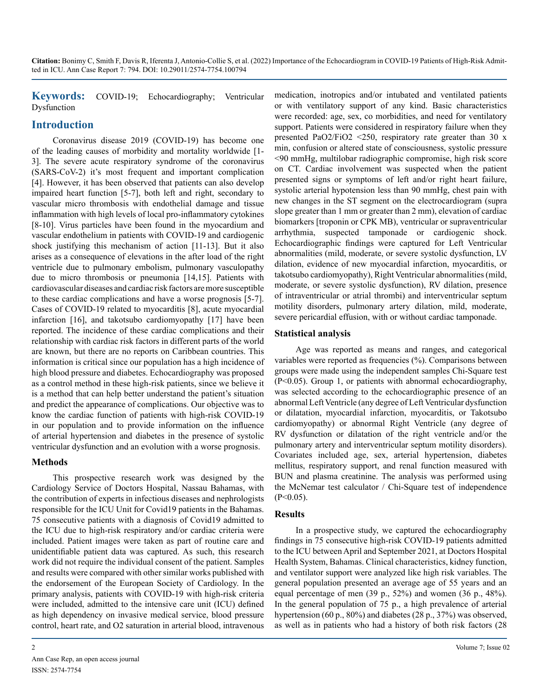**Keywords:** COVID-19; Echocardiography; Ventricular Dysfunction

## **Introduction**

Coronavirus disease 2019 (COVID-19) has become one of the leading causes of morbidity and mortality worldwide [1- 3]. The severe acute respiratory syndrome of the coronavirus (SARS-CoV-2) it's most frequent and important complication [4]. However, it has been observed that patients can also develop impaired heart function [5-7], both left and right, secondary to vascular micro thrombosis with endothelial damage and tissue inflammation with high levels of local pro-inflammatory cytokines [8-10]. Virus particles have been found in the myocardium and vascular endothelium in patients with COVID-19 and cardiogenic shock justifying this mechanism of action [11-13]. But it also arises as a consequence of elevations in the after load of the right ventricle due to pulmonary embolism, pulmonary vasculopathy due to micro thrombosis or pneumonia [14,15]. Patients with cardiovascular diseases and cardiac risk factors are more susceptible to these cardiac complications and have a worse prognosis [5-7]. Cases of COVID-19 related to myocarditis [8], acute myocardial infarction [16], and takotsubo cardiomyopathy [17] have been reported. The incidence of these cardiac complications and their relationship with cardiac risk factors in different parts of the world are known, but there are no reports on Caribbean countries. This information is critical since our population has a high incidence of high blood pressure and diabetes. Echocardiography was proposed as a control method in these high-risk patients, since we believe it is a method that can help better understand the patient's situation and predict the appearance of complications. Our objective was to know the cardiac function of patients with high-risk COVID-19 in our population and to provide information on the influence of arterial hypertension and diabetes in the presence of systolic ventricular dysfunction and an evolution with a worse prognosis.

#### **Methods**

This prospective research work was designed by the Cardiology Service of Doctors Hospital, Nassau Bahamas, with the contribution of experts in infectious diseases and nephrologists responsible for the ICU Unit for Covid19 patients in the Bahamas. 75 consecutive patients with a diagnosis of Covid19 admitted to the ICU due to high-risk respiratory and/or cardiac criteria were included. Patient images were taken as part of routine care and unidentifiable patient data was captured. As such, this research work did not require the individual consent of the patient. Samples and results were compared with other similar works published with the endorsement of the European Society of Cardiology. In the primary analysis, patients with COVID-19 with high-risk criteria were included, admitted to the intensive care unit (ICU) defined as high dependency on invasive medical service, blood pressure control, heart rate, and O2 saturation in arterial blood, intravenous

medication, inotropics and/or intubated and ventilated patients or with ventilatory support of any kind. Basic characteristics were recorded: age, sex, co morbidities, and need for ventilatory support. Patients were considered in respiratory failure when they presented PaO2/FiO2  $\leq$ 250, respiratory rate greater than 30 x min, confusion or altered state of consciousness, systolic pressure <90 mmHg, multilobar radiographic compromise, high risk score on CT. Cardiac involvement was suspected when the patient presented signs or symptoms of left and/or right heart failure, systolic arterial hypotension less than 90 mmHg, chest pain with new changes in the ST segment on the electrocardiogram (supra slope greater than 1 mm or greater than 2 mm), elevation of cardiac biomarkers [troponin or CPK MB), ventricular or supraventricular arrhythmia, suspected tamponade or cardiogenic shock. Echocardiographic findings were captured for Left Ventricular abnormalities (mild, moderate, or severe systolic dysfunction, LV dilation, evidence of new myocardial infarction, myocarditis, or takotsubo cardiomyopathy), Right Ventricular abnormalities (mild, moderate, or severe systolic dysfunction), RV dilation, presence of intraventricular or atrial thrombi) and interventricular septum motility disorders, pulmonary artery dilation, mild, moderate, severe pericardial effusion, with or without cardiac tamponade.

#### **Statistical analysis**

Age was reported as means and ranges, and categorical variables were reported as frequencies (%). Comparisons between groups were made using the independent samples Chi-Square test (P<0.05). Group 1, or patients with abnormal echocardiography, was selected according to the echocardiographic presence of an abnormal Left Ventricle (any degree of Left Ventricular dysfunction or dilatation, myocardial infarction, myocarditis, or Takotsubo cardiomyopathy) or abnormal Right Ventricle (any degree of RV dysfunction or dilatation of the right ventricle and/or the pulmonary artery and interventricular septum motility disorders). Covariates included age, sex, arterial hypertension, diabetes mellitus, respiratory support, and renal function measured with BUN and plasma creatinine. The analysis was performed using the McNemar test calculator / Chi-Square test of independence  $(P<0.05)$ .

#### **Results**

In a prospective study, we captured the echocardiography findings in 75 consecutive high-risk COVID-19 patients admitted to the ICU between April and September 2021, at Doctors Hospital Health System, Bahamas. Clinical characteristics, kidney function, and ventilator support were analyzed like high risk variables. The general population presented an average age of 55 years and an equal percentage of men (39 p., 52%) and women (36 p., 48%). In the general population of 75 p., a high prevalence of arterial hypertension (60 p., 80%) and diabetes (28 p., 37%) was observed, as well as in patients who had a history of both risk factors (28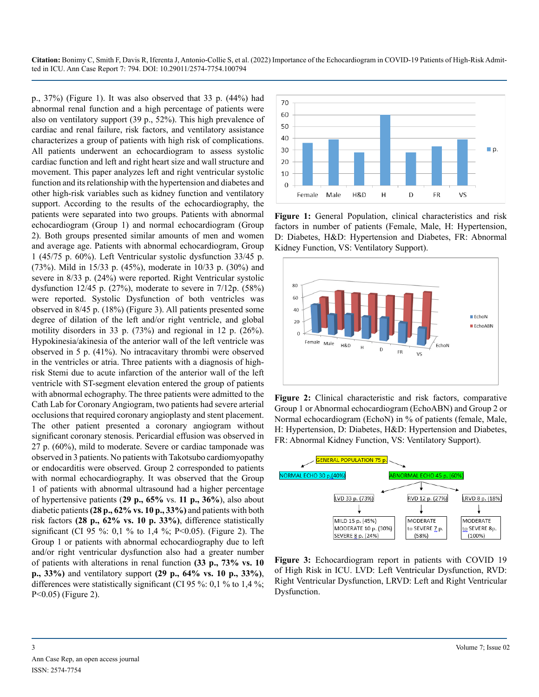p., 37%) (Figure 1). It was also observed that 33 p. (44%) had abnormal renal function and a high percentage of patients were also on ventilatory support (39 p., 52%). This high prevalence of cardiac and renal failure, risk factors, and ventilatory assistance characterizes a group of patients with high risk of complications. All patients underwent an echocardiogram to assess systolic cardiac function and left and right heart size and wall structure and movement. This paper analyzes left and right ventricular systolic function and its relationship with the hypertension and diabetes and other high-risk variables such as kidney function and ventilatory support. According to the results of the echocardiography, the patients were separated into two groups. Patients with abnormal echocardiogram (Group 1) and normal echocardiogram (Group 2). Both groups presented similar amounts of men and women and average age. Patients with abnormal echocardiogram, Group 1 (45/75 p. 60%). Left Ventricular systolic dysfunction 33/45 p. (73%). Mild in 15/33 p. (45%), moderate in 10/33 p. (30%) and severe in 8/33 p. (24%) were reported. Right Ventricular systolic dysfunction 12/45 p. (27%), moderate to severe in 7/12p. (58%) were reported. Systolic Dysfunction of both ventricles was observed in 8/45 p. (18%) (Figure 3). All patients presented some degree of dilation of the left and/or right ventricle, and global motility disorders in 33 p. (73%) and regional in 12 p. (26%). Hypokinesia/akinesia of the anterior wall of the left ventricle was observed in 5 p. (41%). No intracavitary thrombi were observed in the ventricles or atria. Three patients with a diagnosis of highrisk Stemi due to acute infarction of the anterior wall of the left ventricle with ST-segment elevation entered the group of patients with abnormal echography. The three patients were admitted to the Cath Lab for Coronary Angiogram, two patients had severe arterial occlusions that required coronary angioplasty and stent placement. The other patient presented a coronary angiogram without significant coronary stenosis. Pericardial effusion was observed in 27 p. (60%), mild to moderate. Severe or cardiac tamponade was observed in 3 patients. No patients with Takotsubo cardiomyopathy or endocarditis were observed. Group 2 corresponded to patients with normal echocardiography. It was observed that the Group 1 of patients with abnormal ultrasound had a higher percentage of hypertensive patients (**29 p., 65%** vs. **11 p., 36%**), also about diabetic patients **(28 p., 62% vs. 10 p., 33%)** and patients with both risk factors **(28 p., 62% vs. 10 p. 33%)**, difference statistically significant (CI 95 %: 0,1 % to 1,4 %; P<0.05). (Figure 2). The Group 1 or patients with abnormal echocardiography due to left and/or right ventricular dysfunction also had a greater number of patients with alterations in renal function **(33 p., 73% vs. 10 p., 33%)** and ventilatory support **(29 p., 64% vs. 10 p., 33%)**, differences were statistically significant (CI 95 %: 0,1 % to 1,4 %; P<0.05) (Figure 2).



**Figure 1:** General Population, clinical characteristics and risk factors in number of patients (Female, Male, H: Hypertension, D: Diabetes, H&D: Hypertension and Diabetes, FR: Abnormal Kidney Function, VS: Ventilatory Support).



**Figure 2:** Clinical characteristic and risk factors, comparative Group 1 or Abnormal echocardiogram (EchoABN) and Group 2 or Normal echocardiogram (EchoN) in % of patients (female, Male, H: Hypertension, D: Diabetes, H&D: Hypertension and Diabetes, FR: Abnormal Kidney Function, VS: Ventilatory Support).



**Figure 3:** Echocardiogram report in patients with COVID 19 of High Risk in ICU. LVD: Left Ventricular Dysfunction, RVD: Right Ventricular Dysfunction, LRVD: Left and Right Ventricular Dysfunction.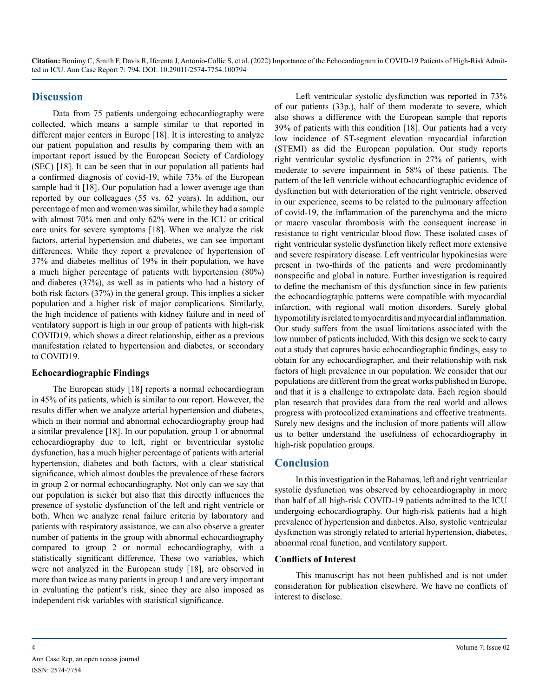#### **Discussion**

Data from 75 patients undergoing echocardiography were collected, which means a sample similar to that reported in different major centers in Europe [18]. It is interesting to analyze our patient population and results by comparing them with an important report issued by the European Society of Cardiology (SEC) [18]. It can be seen that in our population all patients had a confirmed diagnosis of covid-19, while 73% of the European sample had it [18]. Our population had a lower average age than reported by our colleagues (55 vs. 62 years). In addition, our percentage of men and women was similar, while they had a sample with almost 70% men and only 62% were in the ICU or critical care units for severe symptoms [18]. When we analyze the risk factors, arterial hypertension and diabetes, we can see important differences. While they report a prevalence of hypertension of 37% and diabetes mellitus of 19% in their population, we have a much higher percentage of patients with hypertension (80%) and diabetes (37%), as well as in patients who had a history of both risk factors (37%) in the general group. This implies a sicker population and a higher risk of major complications. Similarly, the high incidence of patients with kidney failure and in need of ventilatory support is high in our group of patients with high-risk COVID19, which shows a direct relationship, either as a previous manifestation related to hypertension and diabetes, or secondary to COVID19.

#### **Echocardiographic Findings**

The European study [18] reports a normal echocardiogram in 45% of its patients, which is similar to our report. However, the results differ when we analyze arterial hypertension and diabetes, which in their normal and abnormal echocardiography group had a similar prevalence [18]. In our population, group 1 or abnormal echocardiography due to left, right or biventricular systolic dysfunction, has a much higher percentage of patients with arterial hypertension, diabetes and both factors, with a clear statistical significance, which almost doubles the prevalence of these factors in group 2 or normal echocardiography. Not only can we say that our population is sicker but also that this directly influences the presence of systolic dysfunction of the left and right ventricle or both. When we analyze renal failure criteria by laboratory and patients with respiratory assistance, we can also observe a greater number of patients in the group with abnormal echocardiography compared to group 2 or normal echocardiography, with a statistically significant difference. These two variables, which were not analyzed in the European study [18], are observed in more than twice as many patients in group 1 and are very important in evaluating the patient's risk, since they are also imposed as independent risk variables with statistical significance.

Left ventricular systolic dysfunction was reported in 73% of our patients (33p.), half of them moderate to severe, which also shows a difference with the European sample that reports 39% of patients with this condition [18]. Our patients had a very low incidence of ST-segment elevation myocardial infarction (STEMI) as did the European population. Our study reports right ventricular systolic dysfunction in 27% of patients, with moderate to severe impairment in 58% of these patients. The pattern of the left ventricle without echocardiographic evidence of dysfunction but with deterioration of the right ventricle, observed in our experience, seems to be related to the pulmonary affection of covid-19, the inflammation of the parenchyma and the micro or macro vascular thrombosis with the consequent increase in resistance to right ventricular blood flow. These isolated cases of right ventricular systolic dysfunction likely reflect more extensive and severe respiratory disease. Left ventricular hypokinesias were present in two-thirds of the patients and were predominantly nonspecific and global in nature. Further investigation is required to define the mechanism of this dysfunction since in few patients the echocardiographic patterns were compatible with myocardial infarction, with regional wall motion disorders. Surely global hypomotility is related to myocarditis and myocardial inflammation. Our study suffers from the usual limitations associated with the low number of patients included. With this design we seek to carry out a study that captures basic echocardiographic findings, easy to obtain for any echocardiographer, and their relationship with risk factors of high prevalence in our population. We consider that our populations are different from the great works published in Europe, and that it is a challenge to extrapolate data. Each region should plan research that provides data from the real world and allows progress with protocolized examinations and effective treatments. Surely new designs and the inclusion of more patients will allow us to better understand the usefulness of echocardiography in high-risk population groups.

#### **Conclusion**

In this investigation in the Bahamas, left and right ventricular systolic dysfunction was observed by echocardiography in more than half of all high-risk COVID-19 patients admitted to the ICU undergoing echocardiography. Our high-risk patients had a high prevalence of hypertension and diabetes. Also, systolic ventricular dysfunction was strongly related to arterial hypertension, diabetes, abnormal renal function, and ventilatory support.

#### **Conflicts of Interest**

This manuscript has not been published and is not under consideration for publication elsewhere. We have no conflicts of interest to disclose.